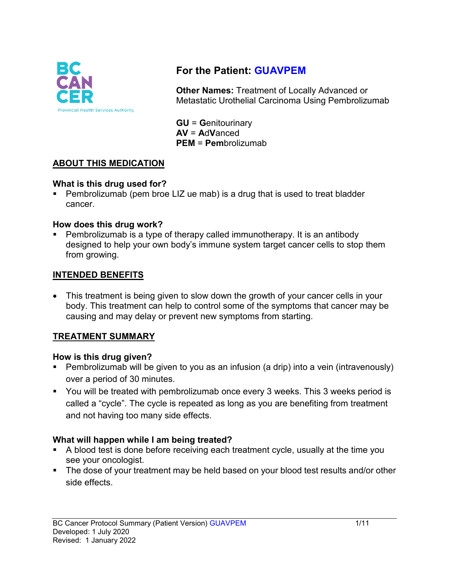

# **For the Patient: GUAVPEM**

**Other Names:** Treatment of Locally Advanced or Metastatic Urothelial Carcinoma Using Pembrolizumab

**GU** = **G**enitourinary **AV** = **A**d**V**anced **PEM** = **Pem**brolizumab

#### **ABOUT THIS MEDICATION**

#### **What is this drug used for?**

• Pembrolizumab (pem broe LIZ ue mab) is a drug that is used to treat bladder cancer.

#### **How does this drug work?**

 Pembrolizumab is a type of therapy called immunotherapy. It is an antibody designed to help your own body's immune system target cancer cells to stop them from growing.

#### **INTENDED BENEFITS**

• This treatment is being given to slow down the growth of your cancer cells in your body. This treatment can help to control some of the symptoms that cancer may be causing and may delay or prevent new symptoms from starting.

### **TREATMENT SUMMARY**

#### **How is this drug given?**

- Pembrolizumab will be given to you as an infusion (a drip) into a vein (intravenously) over a period of 30 minutes.
- You will be treated with pembrolizumab once every 3 weeks. This 3 weeks period is called a "cycle". The cycle is repeated as long as you are benefiting from treatment and not having too many side effects.

#### **What will happen while I am being treated?**

- A blood test is done before receiving each treatment cycle, usually at the time you see your oncologist.
- The dose of your treatment may be held based on your blood test results and/or other side effects.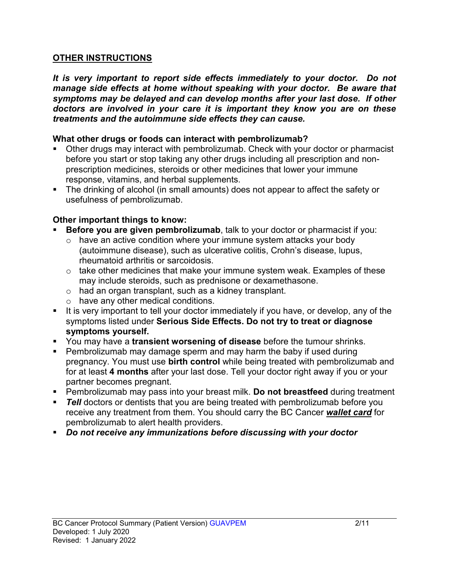#### **OTHER INSTRUCTIONS**

*It is very important to report side effects immediately to your doctor. Do not manage side effects at home without speaking with your doctor. Be aware that symptoms may be delayed and can develop months after your last dose. If other doctors are involved in your care it is important they know you are on these treatments and the autoimmune side effects they can cause.*

#### **What other drugs or foods can interact with pembrolizumab?**

- Other drugs may interact with pembrolizumab. Check with your doctor or pharmacist before you start or stop taking any other drugs including all prescription and nonprescription medicines, steroids or other medicines that lower your immune response, vitamins, and herbal supplements.
- The drinking of alcohol (in small amounts) does not appear to affect the safety or usefulness of pembrolizumab.

#### **Other important things to know:**

- **Before you are given pembrolizumab**, talk to your doctor or pharmacist if you:
	- $\circ$  have an active condition where your immune system attacks your body (autoimmune disease), such as ulcerative colitis, Crohn's disease, lupus, rheumatoid arthritis or sarcoidosis.
	- $\circ$  take other medicines that make your immune system weak. Examples of these may include steroids, such as prednisone or dexamethasone.
	- o had an organ transplant, such as a kidney transplant.
	- o have any other medical conditions.
- It is very important to tell your doctor immediately if you have, or develop, any of the symptoms listed under **Serious Side Effects. Do not try to treat or diagnose symptoms yourself.**
- You may have a **transient worsening of disease** before the tumour shrinks.
- Pembrolizumab may damage sperm and may harm the baby if used during pregnancy. You must use **birth control** while being treated with pembrolizumab and for at least **4 months** after your last dose. Tell your doctor right away if you or your partner becomes pregnant.
- Pembrolizumab may pass into your breast milk. **Do not breastfeed** during treatment
- **Tell** doctors or dentists that you are being treated with pembrolizumab before you receive any treatment from them. You should carry the BC Cancer *wallet card* for pembrolizumab to alert health providers.
- *Do not receive any immunizations before discussing with your doctor*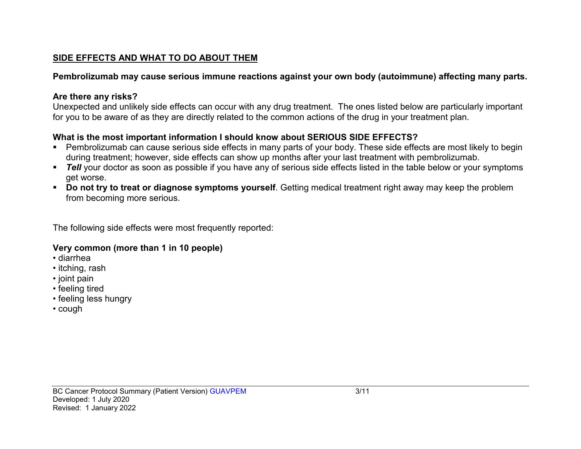### **SIDE EFFECTS AND WHAT TO DO ABOUT THEM**

## **Pembrolizumab may cause serious immune reactions against your own body (autoimmune) affecting many parts.**

## **Are there any risks?**

Unexpected and unlikely side effects can occur with any drug treatment. The ones listed below are particularly important for you to be aware of as they are directly related to the common actions of the drug in your treatment plan.

## **What is the most important information I should know about SERIOUS SIDE EFFECTS?**

- Pembrolizumab can cause serious side effects in many parts of your body. These side effects are most likely to begin during treatment; however, side effects can show up months after your last treatment with pembrolizumab.
- **Tell** your doctor as soon as possible if you have any of serious side effects listed in the table below or your symptoms get worse.
- **Do not try to treat or diagnose symptoms yourself**. Getting medical treatment right away may keep the problem from becoming more serious.

The following side effects were most frequently reported:

# **Very common (more than 1 in 10 people)**

- diarrhea
- itching, rash
- joint pain
- feeling tired
- feeling less hungry
- cough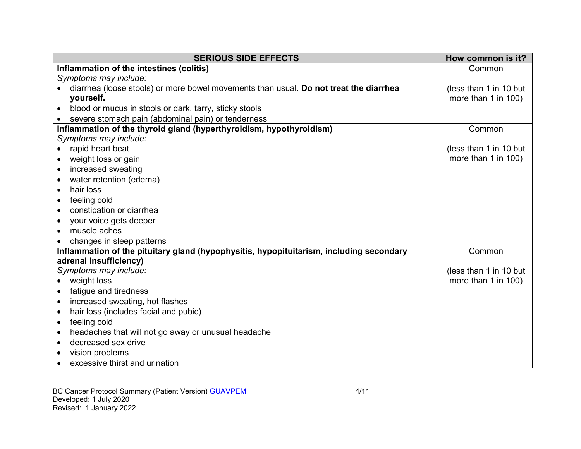| <b>SERIOUS SIDE EFFECTS</b>                                                             | How common is it?      |
|-----------------------------------------------------------------------------------------|------------------------|
| Inflammation of the intestines (colitis)                                                | Common                 |
| Symptoms may include:                                                                   |                        |
| diarrhea (loose stools) or more bowel movements than usual. Do not treat the diarrhea   | (less than 1 in 10 but |
| yourself.                                                                               | more than 1 in 100)    |
| blood or mucus in stools or dark, tarry, sticky stools                                  |                        |
| severe stomach pain (abdominal pain) or tenderness                                      |                        |
| Inflammation of the thyroid gland (hyperthyroidism, hypothyroidism)                     | Common                 |
| Symptoms may include:                                                                   |                        |
| rapid heart beat                                                                        | (less than 1 in 10 but |
| weight loss or gain                                                                     | more than 1 in 100)    |
| increased sweating                                                                      |                        |
| water retention (edema)                                                                 |                        |
| hair loss<br>$\bullet$                                                                  |                        |
| feeling cold                                                                            |                        |
| constipation or diarrhea                                                                |                        |
| your voice gets deeper                                                                  |                        |
| muscle aches                                                                            |                        |
| changes in sleep patterns                                                               |                        |
| Inflammation of the pituitary gland (hypophysitis, hypopituitarism, including secondary | Common                 |
| adrenal insufficiency)                                                                  |                        |
| Symptoms may include:                                                                   | (less than 1 in 10 but |
| weight loss                                                                             | more than 1 in 100)    |
| fatigue and tiredness                                                                   |                        |
| increased sweating, hot flashes                                                         |                        |
| hair loss (includes facial and pubic)                                                   |                        |
| feeling cold<br>$\bullet$                                                               |                        |
| headaches that will not go away or unusual headache                                     |                        |
| decreased sex drive                                                                     |                        |
| vision problems                                                                         |                        |
| excessive thirst and urination                                                          |                        |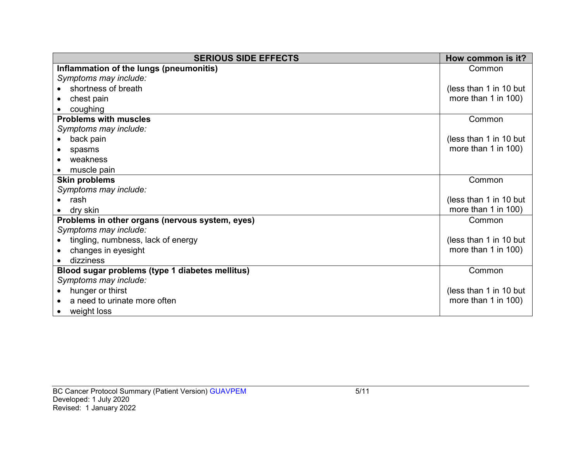| <b>SERIOUS SIDE EFFECTS</b>                     | How common is it?        |
|-------------------------------------------------|--------------------------|
| Inflammation of the lungs (pneumonitis)         | Common                   |
| Symptoms may include:                           |                          |
| shortness of breath                             | (less than 1 in 10 but   |
| chest pain                                      | more than $1$ in $100$ ) |
| coughing                                        |                          |
| <b>Problems with muscles</b>                    | Common                   |
| Symptoms may include:                           |                          |
| back pain                                       | (less than 1 in 10 but   |
| spasms                                          | more than 1 in $100$ )   |
| weakness                                        |                          |
| muscle pain                                     |                          |
| <b>Skin problems</b>                            | Common                   |
| Symptoms may include:                           |                          |
| rash                                            | (less than 1 in 10 but   |
| dry skin                                        | more than 1 in 100)      |
| Problems in other organs (nervous system, eyes) | Common                   |
| Symptoms may include:                           |                          |
| tingling, numbness, lack of energy              | (less than 1 in 10 but   |
| changes in eyesight                             | more than 1 in 100)      |
| dizziness                                       |                          |
| Blood sugar problems (type 1 diabetes mellitus) | Common                   |
| Symptoms may include:                           |                          |
| hunger or thirst                                | (less than 1 in 10 but   |
| a need to urinate more often                    | more than $1$ in $100$ ) |
| weight loss                                     |                          |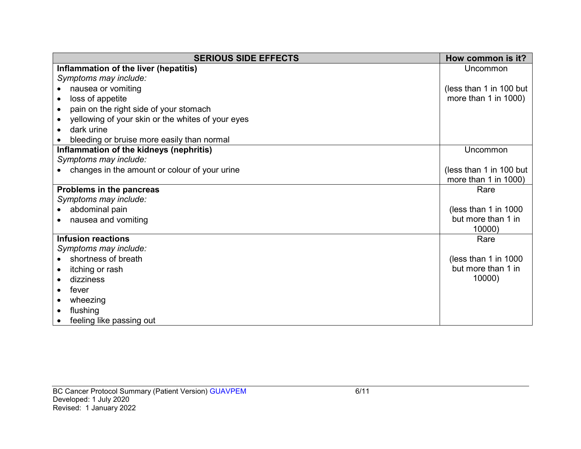| <b>SERIOUS SIDE EFFECTS</b>                       | How common is it?         |
|---------------------------------------------------|---------------------------|
| Inflammation of the liver (hepatitis)             | Uncommon                  |
| Symptoms may include:                             |                           |
| nausea or vomiting                                | (less than 1 in 100 but   |
| loss of appetite                                  | more than $1$ in $1000$ ) |
| pain on the right side of your stomach            |                           |
| yellowing of your skin or the whites of your eyes |                           |
| dark urine                                        |                           |
| bleeding or bruise more easily than normal        |                           |
| Inflammation of the kidneys (nephritis)           | Uncommon                  |
| Symptoms may include:                             |                           |
| changes in the amount or colour of your urine     | (less than 1 in 100 but   |
|                                                   | more than 1 in 1000)      |
| Problems in the pancreas                          | Rare                      |
| Symptoms may include:                             |                           |
| abdominal pain                                    | (less than 1 in $1000$    |
| nausea and vomiting                               | but more than 1 in        |
|                                                   | 10000)                    |
| <b>Infusion reactions</b>                         | Rare                      |
| Symptoms may include:                             |                           |
| shortness of breath                               | (less than 1 in 1000)     |
| itching or rash                                   | but more than 1 in        |
| dizziness                                         | 10000)                    |
| fever                                             |                           |
| wheezing                                          |                           |
| flushing                                          |                           |
| feeling like passing out                          |                           |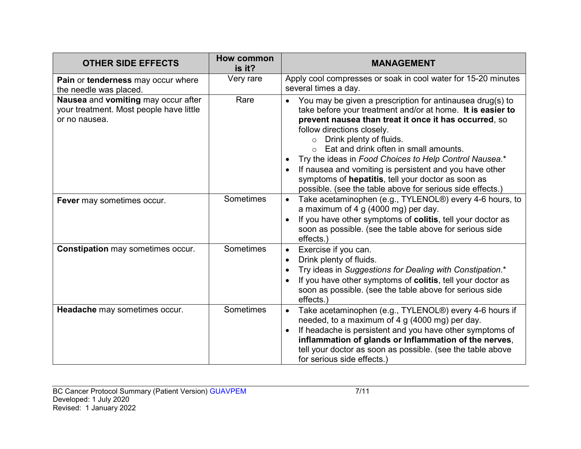| <b>OTHER SIDE EFFECTS</b>                                                                       | How common<br>is it? | <b>MANAGEMENT</b>                                                                                                                                                                                                                                                                                                                                                                                                                                                                                                                     |  |
|-------------------------------------------------------------------------------------------------|----------------------|---------------------------------------------------------------------------------------------------------------------------------------------------------------------------------------------------------------------------------------------------------------------------------------------------------------------------------------------------------------------------------------------------------------------------------------------------------------------------------------------------------------------------------------|--|
| Pain or tenderness may occur where<br>the needle was placed.                                    | Very rare            | Apply cool compresses or soak in cool water for 15-20 minutes<br>several times a day.                                                                                                                                                                                                                                                                                                                                                                                                                                                 |  |
| Nausea and vomiting may occur after<br>your treatment. Most people have little<br>or no nausea. | Rare                 | You may be given a prescription for antinausea drug(s) to<br>take before your treatment and/or at home. It is easier to<br>prevent nausea than treat it once it has occurred, so<br>follow directions closely.<br>Drink plenty of fluids.<br>$\circ$<br>Eat and drink often in small amounts.<br>Try the ideas in Food Choices to Help Control Nausea.*<br>If nausea and vomiting is persistent and you have other<br>symptoms of hepatitis, tell your doctor as soon as<br>possible. (see the table above for serious side effects.) |  |
| Fever may sometimes occur.                                                                      | Sometimes            | Take acetaminophen (e.g., TYLENOL®) every 4-6 hours, to<br>$\bullet$<br>a maximum of 4 g $(4000 \text{ mg})$ per day.<br>If you have other symptoms of colitis, tell your doctor as<br>soon as possible. (see the table above for serious side<br>effects.)                                                                                                                                                                                                                                                                           |  |
| <b>Constipation may sometimes occur.</b>                                                        | Sometimes            | Exercise if you can.<br>Drink plenty of fluids.<br>Try ideas in Suggestions for Dealing with Constipation.*<br>If you have other symptoms of colitis, tell your doctor as<br>soon as possible. (see the table above for serious side<br>effects.)                                                                                                                                                                                                                                                                                     |  |
| Headache may sometimes occur.                                                                   | Sometimes            | Take acetaminophen (e.g., TYLENOL®) every 4-6 hours if<br>$\bullet$<br>needed, to a maximum of 4 g (4000 mg) per day.<br>If headache is persistent and you have other symptoms of<br>inflammation of glands or Inflammation of the nerves,<br>tell your doctor as soon as possible. (see the table above<br>for serious side effects.)                                                                                                                                                                                                |  |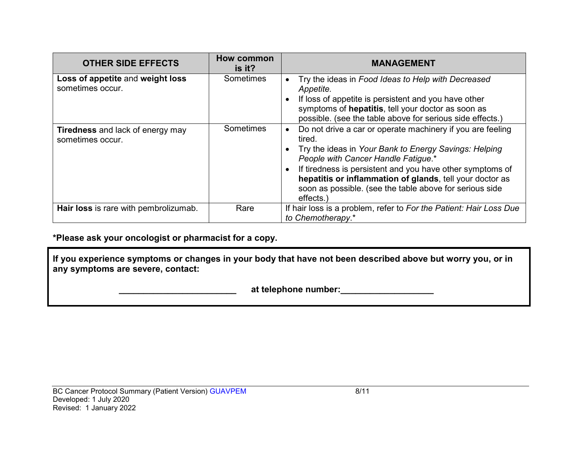| <b>OTHER SIDE EFFECTS</b>                                   | How common<br>is it? | <b>MANAGEMENT</b>                                                                                                                                                                                                                                                                                                                                                     |
|-------------------------------------------------------------|----------------------|-----------------------------------------------------------------------------------------------------------------------------------------------------------------------------------------------------------------------------------------------------------------------------------------------------------------------------------------------------------------------|
| Loss of appetite and weight loss<br>sometimes occur.        | <b>Sometimes</b>     | Try the ideas in Food Ideas to Help with Decreased<br>Appetite.<br>If loss of appetite is persistent and you have other<br>symptoms of hepatitis, tell your doctor as soon as<br>possible. (see the table above for serious side effects.)                                                                                                                            |
| <b>Tiredness</b> and lack of energy may<br>sometimes occur. | Sometimes            | Do not drive a car or operate machinery if you are feeling<br>tired.<br>Try the ideas in Your Bank to Energy Savings: Helping<br>People with Cancer Handle Fatigue.*<br>If tiredness is persistent and you have other symptoms of<br>hepatitis or inflammation of glands, tell your doctor as<br>soon as possible. (see the table above for serious side<br>effects.) |
| Hair loss is rare with pembrolizumab.                       | Rare                 | If hair loss is a problem, refer to For the Patient: Hair Loss Due<br>to Chemotherapy.*                                                                                                                                                                                                                                                                               |

### **\*Please ask your oncologist or pharmacist for a copy.**

**If you experience symptoms or changes in your body that have not been described above but worry you, or in any symptoms are severe, contact:**

 **\_\_\_\_\_\_\_\_\_\_\_\_\_\_\_\_\_\_\_\_\_\_\_\_ at telephone number:\_\_\_\_\_\_\_\_\_\_\_\_\_\_\_\_\_\_\_**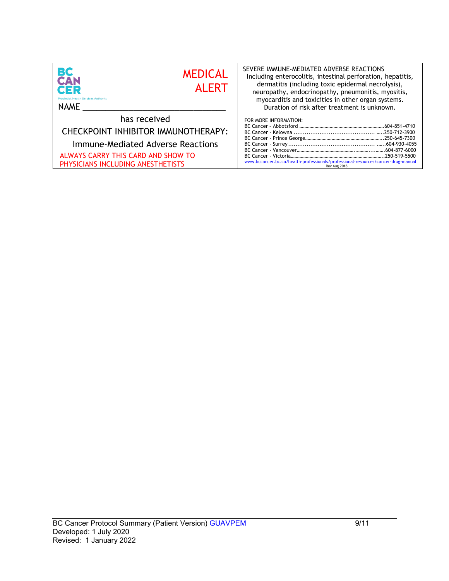| <b>BC</b><br>CAN<br><b>MEDICAL</b><br><b>AI FRT</b><br><b>CER</b><br><b>Provincial Health Services Authority</b><br><b>NAME</b>                                     | SEVERE IMMUNE-MEDIATED ADVERSE REACTIONS<br>Including enterocolitis, intestinal perforation, hepatitis,<br>dermatitis (including toxic epidermal necrolysis),<br>neuropathy, endocrinopathy, pneumonitis, myositis,<br>myocarditis and toxicities in other organ systems.<br>Duration of risk after treatment is unknown.<br>FOR MORE INFORMATION: |  |  |
|---------------------------------------------------------------------------------------------------------------------------------------------------------------------|----------------------------------------------------------------------------------------------------------------------------------------------------------------------------------------------------------------------------------------------------------------------------------------------------------------------------------------------------|--|--|
| has received<br>CHECKPOINT INHIBITOR IMMUNOTHERAPY:<br>Immune-Mediated Adverse Reactions<br>ALWAYS CARRY THIS CARD AND SHOW TO<br>PHYSICIANS INCLUDING ANESTHETISTS | www.bccancer.bc.ca/health-professionals/professional-resources/cancer-drug-manual<br>Rev Aug 2018                                                                                                                                                                                                                                                  |  |  |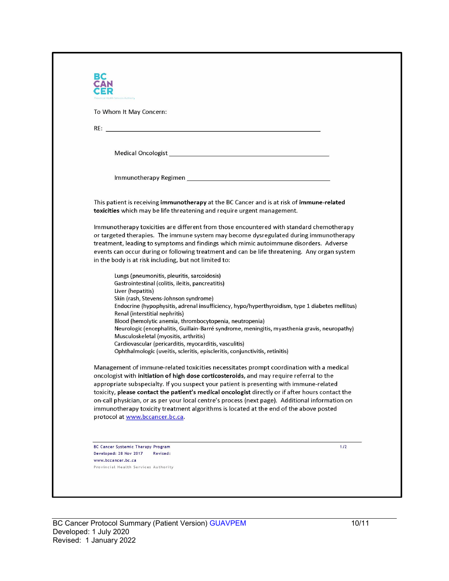| al Health Services Authority                                                                                                                                                                                                                                                                        |                                                                                                                                                                                                                                                                                                                                                                                                                                                                                                                                                                                |  |
|-----------------------------------------------------------------------------------------------------------------------------------------------------------------------------------------------------------------------------------------------------------------------------------------------------|--------------------------------------------------------------------------------------------------------------------------------------------------------------------------------------------------------------------------------------------------------------------------------------------------------------------------------------------------------------------------------------------------------------------------------------------------------------------------------------------------------------------------------------------------------------------------------|--|
| To Whom It May Concern:                                                                                                                                                                                                                                                                             |                                                                                                                                                                                                                                                                                                                                                                                                                                                                                                                                                                                |  |
|                                                                                                                                                                                                                                                                                                     |                                                                                                                                                                                                                                                                                                                                                                                                                                                                                                                                                                                |  |
|                                                                                                                                                                                                                                                                                                     |                                                                                                                                                                                                                                                                                                                                                                                                                                                                                                                                                                                |  |
|                                                                                                                                                                                                                                                                                                     |                                                                                                                                                                                                                                                                                                                                                                                                                                                                                                                                                                                |  |
|                                                                                                                                                                                                                                                                                                     |                                                                                                                                                                                                                                                                                                                                                                                                                                                                                                                                                                                |  |
|                                                                                                                                                                                                                                                                                                     |                                                                                                                                                                                                                                                                                                                                                                                                                                                                                                                                                                                |  |
|                                                                                                                                                                                                                                                                                                     | This patient is receiving immunotherapy at the BC Cancer and is at risk of immune-related<br>toxicities which may be life threatening and require urgent management.                                                                                                                                                                                                                                                                                                                                                                                                           |  |
| in the body is at risk including, but not limited to:                                                                                                                                                                                                                                               | Immunotherapy toxicities are different from those encountered with standard chemotherapy<br>or targeted therapies. The immune system may become dysregulated during immunotherapy<br>treatment, leading to symptoms and findings which mimic autoimmune disorders. Adverse<br>events can occur during or following treatment and can be life threatening. Any organ system                                                                                                                                                                                                     |  |
| Lungs (pneumonitis, pleuritis, sarcoidosis)<br>Gastrointestinal (colitis, ileitis, pancreatitis)<br>Liver (hepatitis)<br>Skin (rash, Stevens-Johnson syndrome)<br>Renal (interstitial nephritis)<br>Musculoskeletal (myositis, arthritis)<br>Cardiovascular (pericarditis, myocarditis, vasculitis) | Endocrine (hypophysitis, adrenal insufficiency, hypo/hyperthyroidism, type 1 diabetes mellitus)<br>Blood (hemolytic anemia, thrombocytopenia, neutropenia)<br>Neurologic (encephalitis, Guillain-Barré syndrome, meningitis, myasthenia gravis, neuropathy)<br>Ophthalmologic (uveitis, scleritis, episcleritis, conjunctivitis, retinitis)                                                                                                                                                                                                                                    |  |
| protocol at www.bccancer.bc.ca.                                                                                                                                                                                                                                                                     | Management of immune-related toxicities necessitates prompt coordination with a medical<br>oncologist with initiation of high dose corticosteroids, and may require referral to the<br>appropriate subspecialty. If you suspect your patient is presenting with immune-related<br>toxicity, please contact the patient's medical oncologist directly or if after hours contact the<br>on-call physician, or as per your local centre's process (next page). Additional information on<br>immunotherapy toxicity treatment algorithms is located at the end of the above posted |  |
| <b>BC Cancer Systemic Therapy Program</b><br>Revised:<br>Developed: 28 Nov 2017                                                                                                                                                                                                                     | 1/2                                                                                                                                                                                                                                                                                                                                                                                                                                                                                                                                                                            |  |